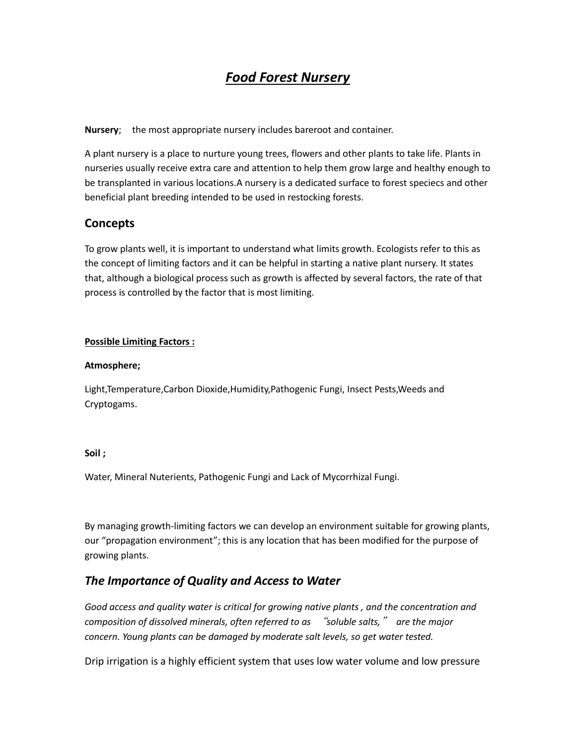# *Food Forest Nursery*

**Nursery**; the most appropriate nursery includes bareroot and container.

A plant nursery is a place to nurture young trees, flowers and other plants to take life. Plants in nurseries usually receive extra care and attention to help them grow large and healthy enough to be transplanted in various locations.A nursery is a dedicated surface to forest speciecs and other beneficial plant breeding intended to be used in restocking forests.

## **Concepts**

To grow plants well, it is important to understand what limits growth. Ecologists refer to this as the concept of limiting factors and it can be helpful in starting a native plant nursery. It states that, although a biological process such as growth is affected by several factors, the rate of that process is controlled by the factor that is most limiting.

#### **Possible Limiting Factors :**

#### **Atmosphere;**

Light,Temperature,Carbon Dioxide,Humidity,Pathogenic Fungi, Insect Pests,Weeds and Cryptogams.

#### **Soil ;**

Water, Mineral Nuterients, Pathogenic Fungi and Lack of Mycorrhizal Fungi.

By managing growth-limiting factors we can develop an environment suitable for growing plants, our "propagation environment"; this is any location that has been modified for the purpose of growing plants.

## *The Importance of Quality and Access to Water*

*Good access and quality water is critical for growing native plants , and the concentration and composition of dissolved minerals, often referred to as* "*soluble salts,*" *are the major concern. Young plants can be damaged by moderate salt levels, so get water tested.*

Drip irrigation is a highly efficient system that uses low water volume and low pressure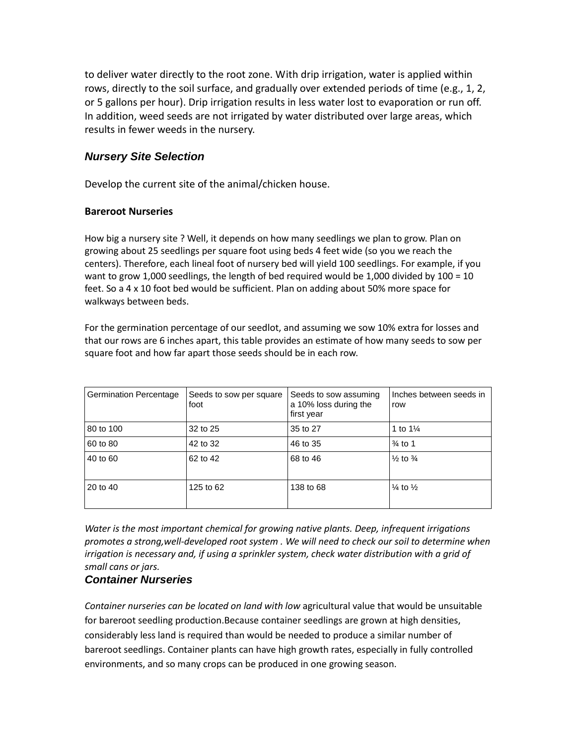to deliver water directly to the root zone. With drip irrigation, water is applied within rows, directly to the soil surface, and gradually over extended periods of time (e.g., 1, 2, or 5 gallons per hour). Drip irrigation results in less water lost to evaporation or run off. In addition, weed seeds are not irrigated by water distributed over large areas, which results in fewer weeds in the nursery.

## *Nursery Site Selection*

Develop the current site of the animal/chicken house.

### **Bareroot Nurseries**

How big a nursery site ? Well, it depends on how many seedlings we plan to grow. Plan on growing about 25 seedlings per square foot using beds 4 feet wide (so you we reach the centers). Therefore, each lineal foot of nursery bed will yield 100 seedlings. For example, if you want to grow 1,000 seedlings, the length of bed required would be 1,000 divided by 100 = 10 feet. So a 4 x 10 foot bed would be sufficient. Plan on adding about 50% more space for walkways between beds.

For the germination percentage of our seedlot, and assuming we sow 10% extra for losses and that our rows are 6 inches apart, this table provides an estimate of how many seeds to sow per square foot and how far apart those seeds should be in each row.

| <b>Germination Percentage</b> | Seeds to sow per square<br>foot | Seeds to sow assuming<br>a 10% loss during the<br>first year | Inches between seeds in<br>row |
|-------------------------------|---------------------------------|--------------------------------------------------------------|--------------------------------|
| 80 to 100                     | 32 to 25                        | 35 to 27                                                     | 1 to $1\frac{1}{4}$            |
| 60 to 80                      | 42 to 32                        | 46 to 35                                                     | $\frac{3}{4}$ to 1             |
| 40 to 60                      | 62 to 42                        | 68 to 46                                                     | $\frac{1}{2}$ to $\frac{3}{4}$ |
| 20 to 40                      | 125 to 62                       | 138 to 68                                                    | $\frac{1}{4}$ to $\frac{1}{2}$ |

*Water is the most important chemical for growing native plants. Deep, infrequent irrigations promotes a strong,well-developed root system . We will need to check our soil to determine when irrigation is necessary and, if using a sprinkler system, check water distribution with a grid of small cans or jars.* 

### *Container Nurseries*

*Container nurseries can be located on land with low* agricultural value that would be unsuitable for bareroot seedling production.Because container seedlings are grown at high densities, considerably less land is required than would be needed to produce a similar number of bareroot seedlings. Container plants can have high growth rates, especially in fully controlled environments, and so many crops can be produced in one growing season.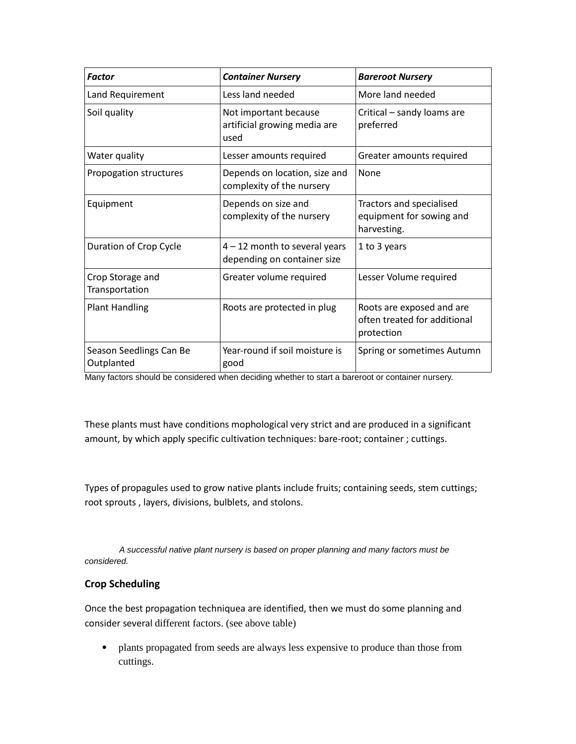| <b>Factor</b>                         | <b>Container Nursery</b>                                       | <b>Bareroot Nursery</b>                                                 |
|---------------------------------------|----------------------------------------------------------------|-------------------------------------------------------------------------|
| Land Requirement                      | Less land needed                                               | More land needed                                                        |
| Soil quality                          | Not important because<br>artificial growing media are<br>used  | Critical - sandy loams are<br>preferred                                 |
| Water quality                         | Lesser amounts required                                        | Greater amounts required                                                |
| Propogation structures                | Depends on location, size and<br>complexity of the nursery     | None                                                                    |
| Equipment                             | Depends on size and<br>complexity of the nursery               | Tractors and specialised<br>equipment for sowing and<br>harvesting.     |
| Duration of Crop Cycle                | $4 - 12$ month to several years<br>depending on container size | 1 to 3 years                                                            |
| Crop Storage and<br>Transportation    | Greater volume required                                        | Lesser Volume required                                                  |
| <b>Plant Handling</b>                 | Roots are protected in plug                                    | Roots are exposed and are<br>often treated for additional<br>protection |
| Season Seedlings Can Be<br>Outplanted | Year-round if soil moisture is<br>good                         | Spring or sometimes Autumn                                              |

Many factors should be considered when deciding whether to start a bareroot or container nursery.

These plants must have conditions mophological very strict and are produced in a significant amount, by which apply specific cultivation techniques: bare-root; container ; cuttings.

Types of propagules used to grow native plants include fruits; containing seeds, stem cuttings; root sprouts , layers, divisions, bulblets, and stolons.

 *A successful native plant nursery is based on proper planning and many factors must be considered.*

### **Crop Scheduling**

Once the best propagation techniquea are identified, then we must do some planning and consider several different factors. (see above table)

• plants propagated from seeds are always less expensive to produce than those from cuttings.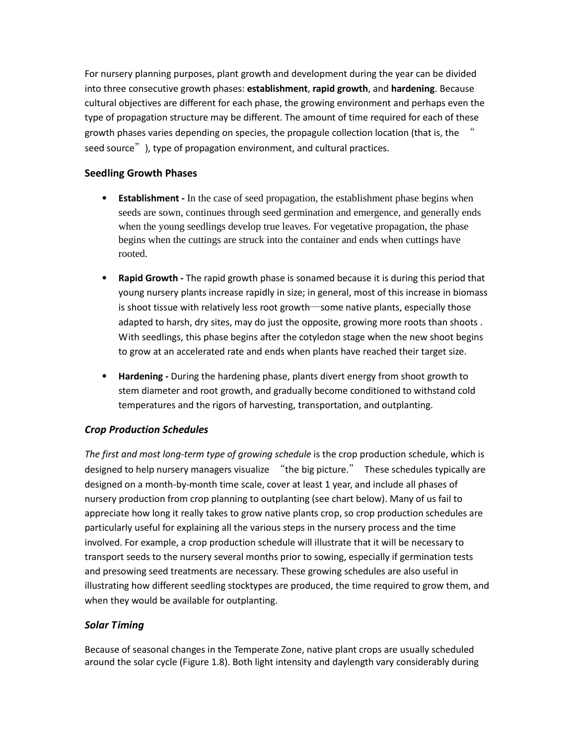For nursery planning purposes, plant growth and development during the year can be divided into three consecutive growth phases: **establishment**, **rapid growth**, and **hardening**. Because cultural objectives are different for each phase, the growing environment and perhaps even the type of propagation structure may be different. The amount of time required for each of these growth phases varies depending on species, the propagule collection location (that is, the " seed source"), type of propagation environment, and cultural practices.

## **Seedling Growth Phases**

- **Establishment -** In the case of seed propagation, the establishment phase begins when seeds are sown, continues through seed germination and emergence, and generally ends when the young seedlings develop true leaves. For vegetative propagation, the phase begins when the cuttings are struck into the container and ends when cuttings have rooted.
- **Rapid Growth -** The rapid growth phase is sonamed because it is during this period that young nursery plants increase rapidly in size; in general, most of this increase in biomass is shoot tissue with relatively less root growth―some native plants, especially those adapted to harsh, dry sites, may do just the opposite, growing more roots than shoots . With seedlings, this phase begins after the cotyledon stage when the new shoot begins to grow at an accelerated rate and ends when plants have reached their target size.
- **Hardening -** During the hardening phase, plants divert energy from shoot growth to stem diameter and root growth, and gradually become conditioned to withstand cold temperatures and the rigors of harvesting, transportation, and outplanting.

## *Crop Production Schedules*

The first and most long-term type of growing schedule is the crop production schedule, which is designed to help nursery managers visualize "the big picture." These schedules typically are designed on a month-by-month time scale, cover at least 1 year, and include all phases of nursery production from crop planning to outplanting (see chart below). Many of us fail to appreciate how long it really takes to grow native plants crop, so crop production schedules are particularly useful for explaining all the various steps in the nursery process and the time involved. For example, a crop production schedule will illustrate that it will be necessary to transport seeds to the nursery several months prior to sowing, especially if germination tests and presowing seed treatments are necessary. These growing schedules are also useful in illustrating how different seedling stocktypes are produced, the time required to grow them, and when they would be available for outplanting.

### *Solar Timing*

Because of seasonal changes in the Temperate Zone, native plant crops are usually scheduled around the solar cycle (Figure 1.8). Both light intensity and daylength vary considerably during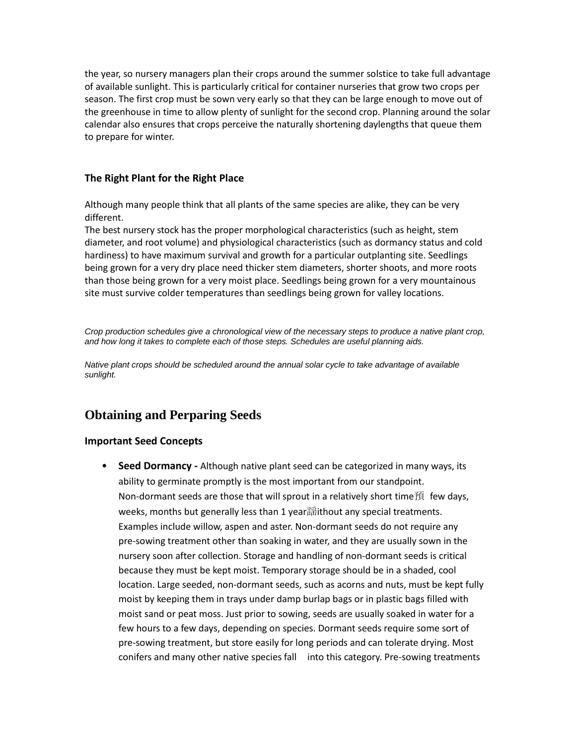the year, so nursery managers plan their crops around the summer solstice to take full advantage of available sunlight. This is particularly critical for container nurseries that grow two crops per season. The first crop must be sown very early so that they can be large enough to move out of the greenhouse in time to allow plenty of sunlight for the second crop. Planning around the solar calendar also ensures that crops perceive the naturally shortening daylengths that queue them to prepare for winter.

### **The Right Plant for the Right Place**

Although many people think that all plants of the same species are alike, they can be very different.

The best nursery stock has the proper morphological characteristics (such as height, stem diameter, and root volume) and physiological characteristics (such as dormancy status and cold hardiness) to have maximum survival and growth for a particular outplanting site. Seedlings being grown for a very dry place need thicker stem diameters, shorter shoots, and more roots than those being grown for a very moist place. Seedlings being grown for a very mountainous site must survive colder temperatures than seedlings being grown for valley locations.

*Crop production schedules give a chronological view of the necessary steps to produce a native plant crop, and how long it takes to complete each of those steps. Schedules are useful planning aids.*

*Native plant crops should be scheduled around the annual solar cycle to take advantage of available sunlight.*

# **Obtaining and Perparing Seeds**

#### **Important Seed Concepts**

• **Seed Dormancy -** Although native plant seed can be categorized in many ways, its ability to germinate promptly is the most important from our standpoint. Non-dormant seeds are those that will sprout in a relatively short time預 few days, weeks, months but generally less than 1 year謡ithout any special treatments. Examples include willow, aspen and aster. Non-dormant seeds do not require any pre-sowing treatment other than soaking in water, and they are usually sown in the nursery soon after collection. Storage and handling of non-dormant seeds is critical because they must be kept moist. Temporary storage should be in a shaded, cool location. Large seeded, non-dormant seeds, such as acorns and nuts, must be kept fully moist by keeping them in trays under damp burlap bags or in plastic bags filled with moist sand or peat moss. Just prior to sowing, seeds are usually soaked in water for a few hours to a few days, depending on species. Dormant seeds require some sort of pre-sowing treatment, but store easily for long periods and can tolerate drying. Most conifers and many other native species fall into this category. Pre-sowing treatments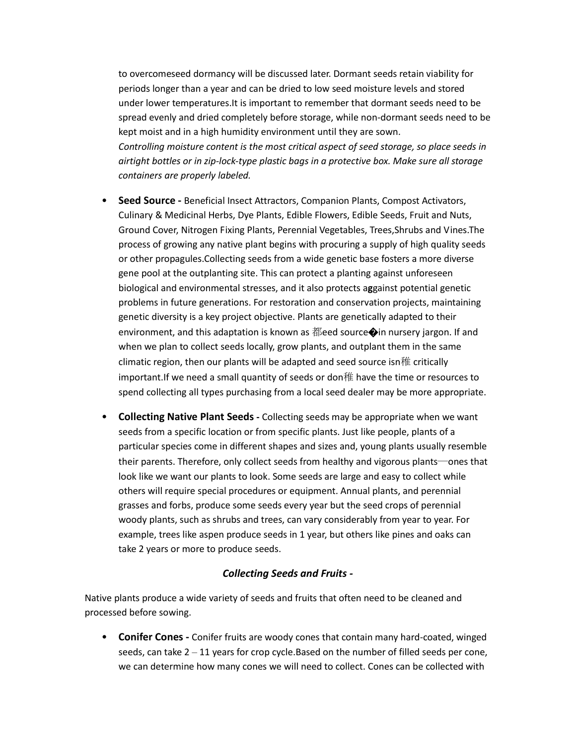to overcomeseed dormancy will be discussed later. Dormant seeds retain viability for periods longer than a year and can be dried to low seed moisture levels and stored under lower temperatures.It is important to remember that dormant seeds need to be spread evenly and dried completely before storage, while non-dormant seeds need to be kept moist and in a high humidity environment until they are sown. *Controlling moisture content is the most critical aspect of seed storage, so place seeds in airtight bottles or in zip-lock-type plastic bags in a protective box. Make sure all storage containers are properly labeled.*

- **Seed Source -** Beneficial Insect Attractors, Companion Plants, Compost Activators, Culinary & Medicinal Herbs, Dye Plants, Edible Flowers, Edible Seeds, Fruit and Nuts, Ground Cover, Nitrogen Fixing Plants, Perennial Vegetables, Trees,Shrubs and Vines.The process of growing any native plant begins with procuring a supply of high quality seeds or other propagules.Collecting seeds from a wide genetic base fosters a more diverse gene pool at the outplanting site. This can protect a planting against unforeseen biological and environmental stresses, and it also protects a**g**gainst potential genetic problems in future generations. For restoration and conservation projects, maintaining genetic diversity is a key project objective. Plants are genetically adapted to their environment, and this adaptation is known as 都eed source $\bigcirc$ in nursery jargon. If and when we plan to collect seeds locally, grow plants, and outplant them in the same climatic region, then our plants will be adapted and seed source isn稚 critically important.If we need a small quantity of seeds or don稚 have the time or resources to spend collecting all types purchasing from a local seed dealer may be more appropriate.
- **Collecting Native Plant Seeds -** Collecting seeds may be appropriate when we want seeds from a specific location or from specific plants. Just like people, plants of a particular species come in different shapes and sizes and, young plants usually resemble their parents. Therefore, only collect seeds from healthy and vigorous plants―ones that look like we want our plants to look. Some seeds are large and easy to collect while others will require special procedures or equipment. Annual plants, and perennial grasses and forbs, produce some seeds every year but the seed crops of perennial woody plants, such as shrubs and trees, can vary considerably from year to year. For example, trees like aspen produce seeds in 1 year, but others like pines and oaks can take 2 years or more to produce seeds.

#### *Collecting Seeds and Fruits -*

Native plants produce a wide variety of seeds and fruits that often need to be cleaned and processed before sowing.

• **Conifer Cones -** Conifer fruits are woody cones that contain many hard-coated, winged seeds, can take  $2 - 11$  years for crop cycle. Based on the number of filled seeds per cone, we can determine how many cones we will need to collect. Cones can be collected with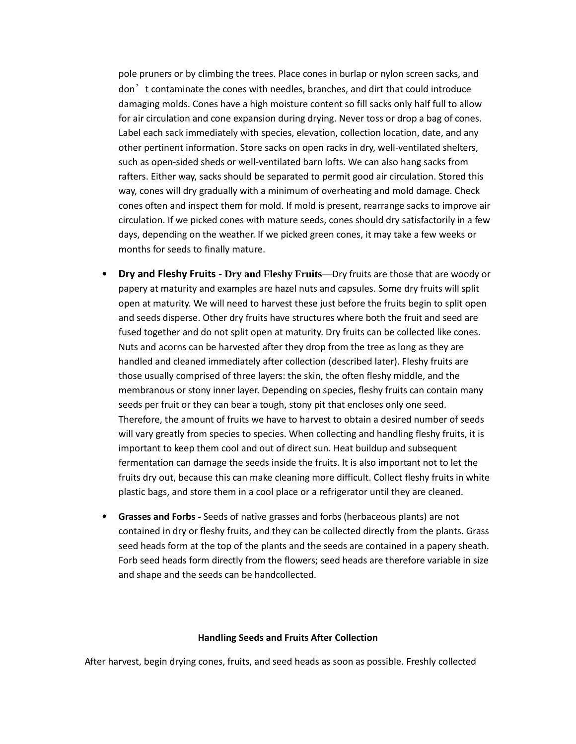pole pruners or by climbing the trees. Place cones in burlap or nylon screen sacks, and don't contaminate the cones with needles, branches, and dirt that could introduce damaging molds. Cones have a high moisture content so fill sacks only half full to allow for air circulation and cone expansion during drying. Never toss or drop a bag of cones. Label each sack immediately with species, elevation, collection location, date, and any other pertinent information. Store sacks on open racks in dry, well-ventilated shelters, such as open-sided sheds or well-ventilated barn lofts. We can also hang sacks from rafters. Either way, sacks should be separated to permit good air circulation. Stored this way, cones will dry gradually with a minimum of overheating and mold damage. Check cones often and inspect them for mold. If mold is present, rearrange sacks to improve air circulation. If we picked cones with mature seeds, cones should dry satisfactorily in a few days, depending on the weather. If we picked green cones, it may take a few weeks or months for seeds to finally mature.

- **Dry and Fleshy Fruits - Dry and Fleshy Fruits—**Dry fruits are those that are woody or papery at maturity and examples are hazel nuts and capsules. Some dry fruits will split open at maturity. We will need to harvest these just before the fruits begin to split open and seeds disperse. Other dry fruits have structures where both the fruit and seed are fused together and do not split open at maturity. Dry fruits can be collected like cones. Nuts and acorns can be harvested after they drop from the tree as long as they are handled and cleaned immediately after collection (described later). Fleshy fruits are those usually comprised of three layers: the skin, the often fleshy middle, and the membranous or stony inner layer. Depending on species, fleshy fruits can contain many seeds per fruit or they can bear a tough, stony pit that encloses only one seed. Therefore, the amount of fruits we have to harvest to obtain a desired number of seeds will vary greatly from species to species. When collecting and handling fleshy fruits, it is important to keep them cool and out of direct sun. Heat buildup and subsequent fermentation can damage the seeds inside the fruits. It is also important not to let the fruits dry out, because this can make cleaning more difficult. Collect fleshy fruits in white plastic bags, and store them in a cool place or a refrigerator until they are cleaned.
- **Grasses and Forbs -** Seeds of native grasses and forbs (herbaceous plants) are not contained in dry or fleshy fruits, and they can be collected directly from the plants. Grass seed heads form at the top of the plants and the seeds are contained in a papery sheath. Forb seed heads form directly from the flowers; seed heads are therefore variable in size and shape and the seeds can be handcollected.

#### **Handling Seeds and Fruits After Collection**

After harvest, begin drying cones, fruits, and seed heads as soon as possible. Freshly collected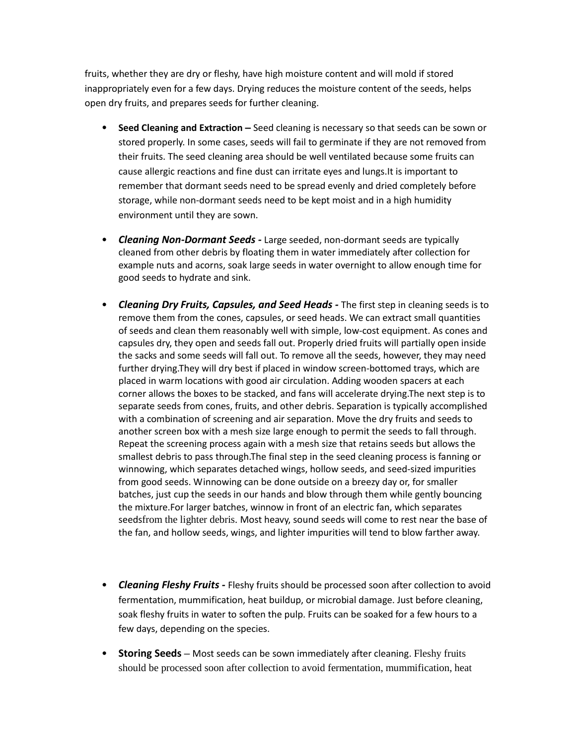fruits, whether they are dry or fleshy, have high moisture content and will mold if stored inappropriately even for a few days. Drying reduces the moisture content of the seeds, helps open dry fruits, and prepares seeds for further cleaning.

- Seed Cleaning and Extraction Seed cleaning is necessary so that seeds can be sown or stored properly. In some cases, seeds will fail to germinate if they are not removed from their fruits. The seed cleaning area should be well ventilated because some fruits can cause allergic reactions and fine dust can irritate eyes and lungs.It is important to remember that dormant seeds need to be spread evenly and dried completely before storage, while non-dormant seeds need to be kept moist and in a high humidity environment until they are sown.
- *Cleaning Non-Dormant Seeds -* Large seeded, non-dormant seeds are typically cleaned from other debris by floating them in water immediately after collection for example nuts and acorns, soak large seeds in water overnight to allow enough time for good seeds to hydrate and sink.
- *Cleaning Dry Fruits, Capsules, and Seed Heads -* The first step in cleaning seeds is to remove them from the cones, capsules, or seed heads. We can extract small quantities of seeds and clean them reasonably well with simple, low-cost equipment. As cones and capsules dry, they open and seeds fall out. Properly dried fruits will partially open inside the sacks and some seeds will fall out. To remove all the seeds, however, they may need further drying.They will dry best if placed in window screen-bottomed trays, which are placed in warm locations with good air circulation. Adding wooden spacers at each corner allows the boxes to be stacked, and fans will accelerate drying.The next step is to separate seeds from cones, fruits, and other debris. Separation is typically accomplished with a combination of screening and air separation. Move the dry fruits and seeds to another screen box with a mesh size large enough to permit the seeds to fall through. Repeat the screening process again with a mesh size that retains seeds but allows the smallest debris to pass through.The final step in the seed cleaning process is fanning or winnowing, which separates detached wings, hollow seeds, and seed-sized impurities from good seeds. Winnowing can be done outside on a breezy day or, for smaller batches, just cup the seeds in our hands and blow through them while gently bouncing the mixture.For larger batches, winnow in front of an electric fan, which separates seedsfrom the lighter debris. Most heavy, sound seeds will come to rest near the base of the fan, and hollow seeds, wings, and lighter impurities will tend to blow farther away.
- *Cleaning Fleshy Fruits -* Fleshy fruits should be processed soon after collection to avoid fermentation, mummification, heat buildup, or microbial damage. Just before cleaning, soak fleshy fruits in water to soften the pulp. Fruits can be soaked for a few hours to a few days, depending on the species.
- **Storing Seeds –** Most seeds can be sown immediately after cleaning. Fleshy fruits should be processed soon after collection to avoid fermentation, mummification, heat